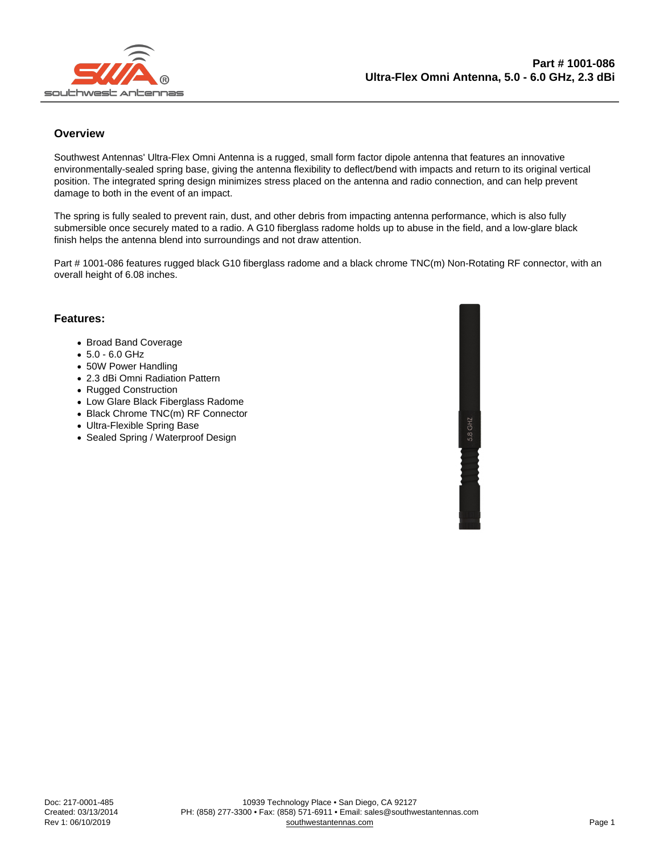#### **Overview**

Southwest Antennas' Ultra-Flex Omni Antenna is a rugged, small form factor dipole antenna that features an innovative environmentally-sealed spring base, giving the antenna flexibility to deflect/bend with impacts and return to its original vertical position. The integrated spring design minimizes stress placed on the antenna and radio connection, and can help prevent damage to both in the event of an impact.

The spring is fully sealed to prevent rain, dust, and other debris from impacting antenna performance, which is also fully submersible once securely mated to a radio. A G10 fiberglass radome holds up to abuse in the field, and a low-glare black finish helps the antenna blend into surroundings and not draw attention.

Part # 1001-086 features rugged black G10 fiberglass radome and a black chrome TNC(m) Non-Rotating RF connector, with an overall height of 6.08 inches.

#### Features:

- Broad Band Coverage
- 5.0 6.0 GHz
- 50W Power Handling
- 2.3 dBi Omni Radiation Pattern
- Rugged Construction
- Low Glare Black Fiberglass Radome
- Black Chrome TNC(m) RF Connector
- Ultra-Flexible Spring Base
- Sealed Spring / Waterproof Design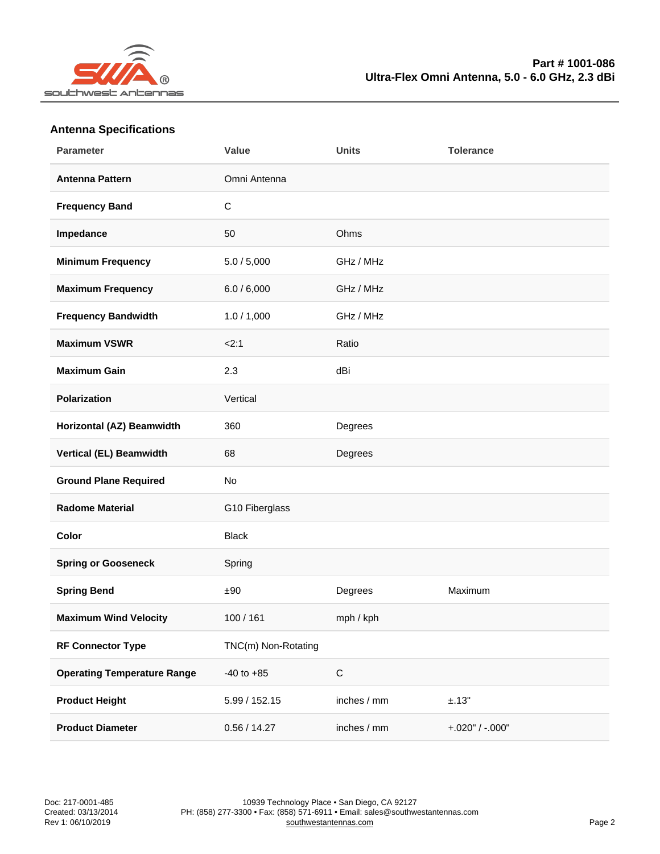## Antenna Specifications

| Parameter                          | Value               | Units       | Tolerance         |
|------------------------------------|---------------------|-------------|-------------------|
| Antenna Pattern                    | Omni Antenna        |             |                   |
| Frequency Band                     | $\mathsf C$         |             |                   |
| Impedance                          | 50                  | Ohms        |                   |
| Minimum Frequency                  | 5.0 / 5,000         | GHz / MHz   |                   |
| Maximum Frequency                  | 6.0 / 6,000         | GHz / MHz   |                   |
| Frequency Bandwidth                | 1.0 / 1,000         | GHz / MHz   |                   |
| Maximum VSWR                       | 2:1                 | Ratio       |                   |
| Maximum Gain                       | 2.3                 | dBi         |                   |
| Polarization                       | Vertical            |             |                   |
| Horizontal (AZ) Beamwidth          | 360                 | Degrees     |                   |
| Vertical (EL) Beamwidth            | 68                  | Degrees     |                   |
| <b>Ground Plane Required</b>       | No                  |             |                   |
| Radome Material                    | G10 Fiberglass      |             |                   |
| Color                              | <b>Black</b>        |             |                   |
| Spring or Gooseneck                | Spring              |             |                   |
| Spring Bend                        | ±90                 | Degrees     | Maximum           |
| Maximum Wind Velocity              | 100 / 161           | mph / kph   |                   |
| RF Connector Type                  | TNC(m) Non-Rotating |             |                   |
| <b>Operating Temperature Range</b> | $-40$ to $+85$      | $\mathsf C$ |                   |
| Product Height                     | 5.99 / 152.15       | inches / mm | ±.13"             |
| <b>Product Diameter</b>            | 0.56 / 14.27        | inches / mm | $+.020" / -.000"$ |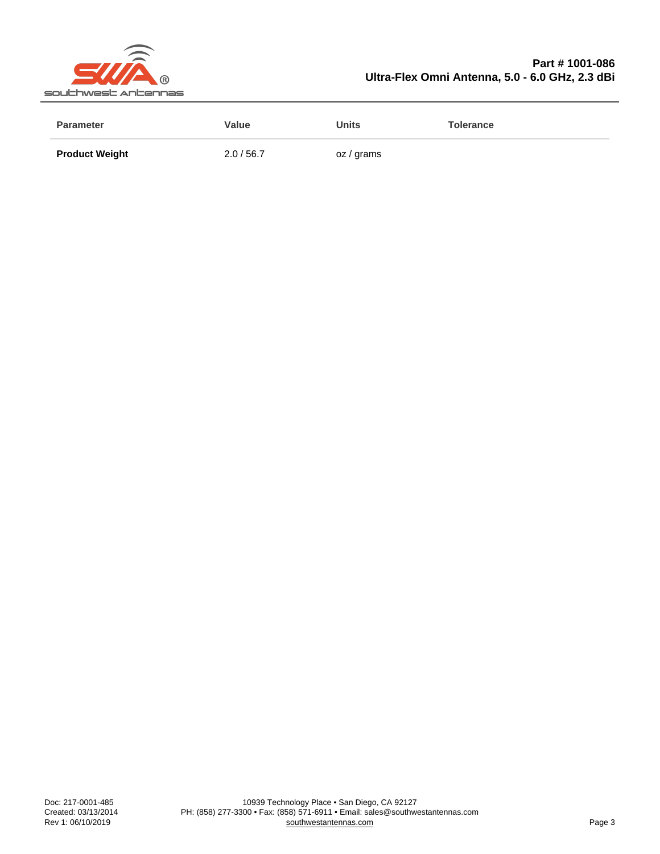### Part # 1001-086 Ultra-Flex Omni Antenna, 5.0 - 6.0 GHz, 2.3 dBi

| Parameter             | Value    | Units      | Tolerance |
|-----------------------|----------|------------|-----------|
| <b>Product Weight</b> | 2.0/56.7 | oz / grams |           |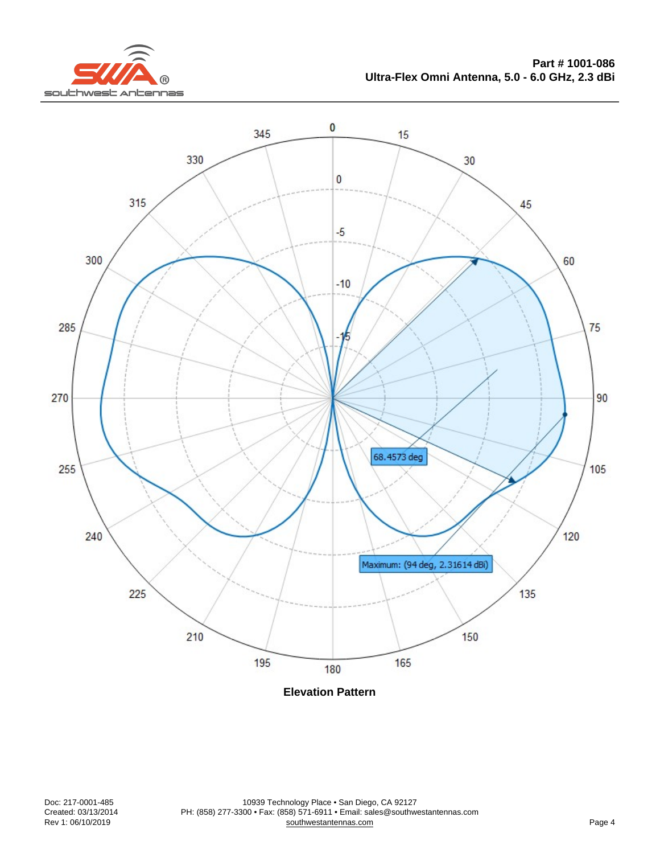Elevation Pattern